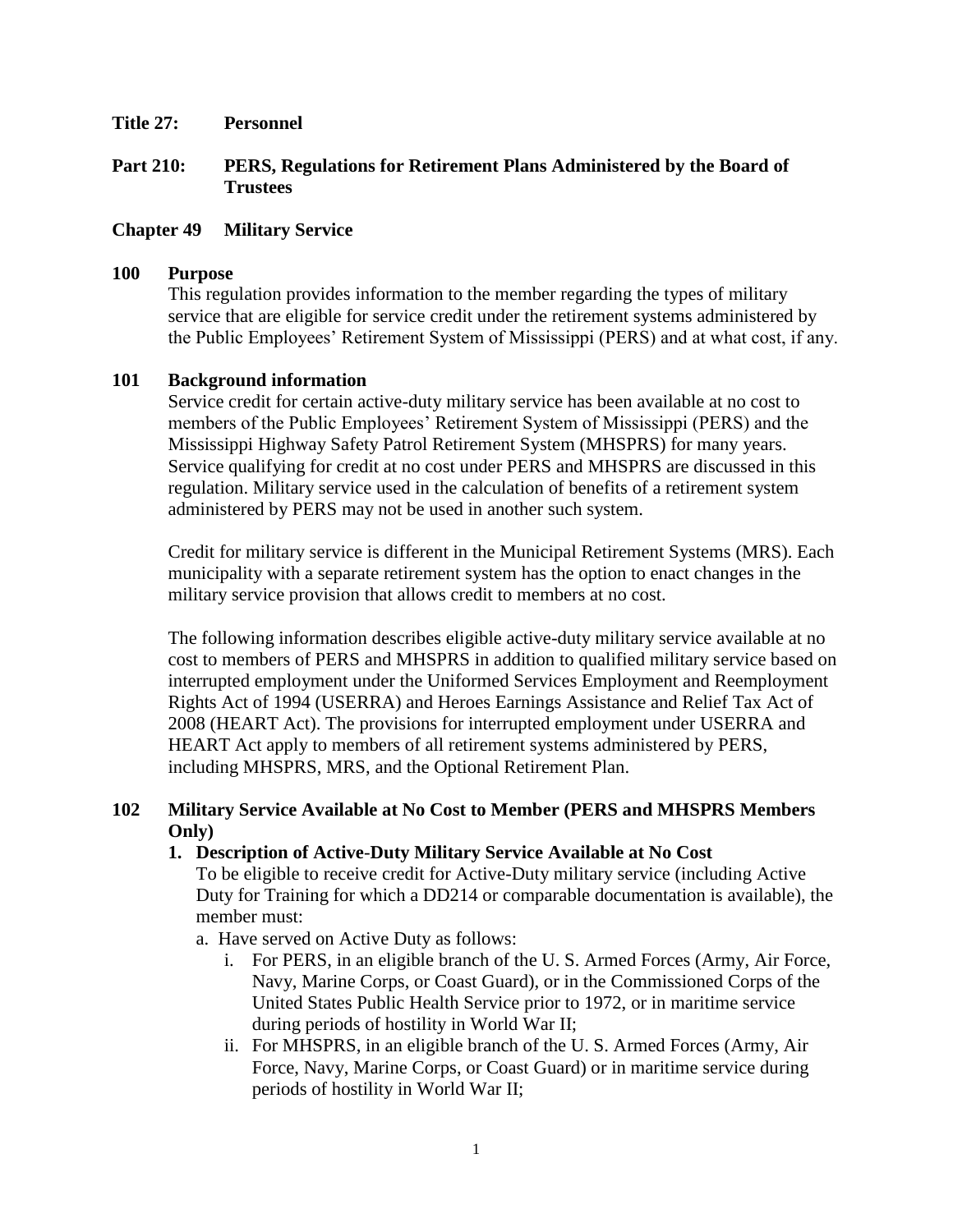**Title 27: Personnel**

### **Part 210: PERS, Regulations for Retirement Plans Administered by the Board of Trustees**

### **Chapter 49 Military Service**

#### **100 Purpose**

This regulation provides information to the member regarding the types of military service that are eligible for service credit under the retirement systems administered by the Public Employees' Retirement System of Mississippi (PERS) and at what cost, if any.

#### **101 Background information**

Service credit for certain active-duty military service has been available at no cost to members of the Public Employees' Retirement System of Mississippi (PERS) and the Mississippi Highway Safety Patrol Retirement System (MHSPRS) for many years. Service qualifying for credit at no cost under PERS and MHSPRS are discussed in this regulation. Military service used in the calculation of benefits of a retirement system administered by PERS may not be used in another such system.

Credit for military service is different in the Municipal Retirement Systems (MRS). Each municipality with a separate retirement system has the option to enact changes in the military service provision that allows credit to members at no cost.

The following information describes eligible active-duty military service available at no cost to members of PERS and MHSPRS in addition to qualified military service based on interrupted employment under the Uniformed Services Employment and Reemployment Rights Act of 1994 (USERRA) and Heroes Earnings Assistance and Relief Tax Act of 2008 (HEART Act). The provisions for interrupted employment under USERRA and HEART Act apply to members of all retirement systems administered by PERS, including MHSPRS, MRS, and the Optional Retirement Plan.

### **102 Military Service Available at No Cost to Member (PERS and MHSPRS Members Only)**

#### **1. Description of Active**-**Duty Military Service Available at No Cost**

To be eligible to receive credit for Active-Duty military service (including Active Duty for Training for which a DD214 or comparable documentation is available), the member must:

- a. Have served on Active Duty as follows:
	- i. For PERS, in an eligible branch of the U. S. Armed Forces (Army, Air Force, Navy, Marine Corps, or Coast Guard), or in the Commissioned Corps of the United States Public Health Service prior to 1972, or in maritime service during periods of hostility in World War II;
	- ii. For MHSPRS, in an eligible branch of the U. S. Armed Forces (Army, Air Force, Navy, Marine Corps, or Coast Guard) or in maritime service during periods of hostility in World War II;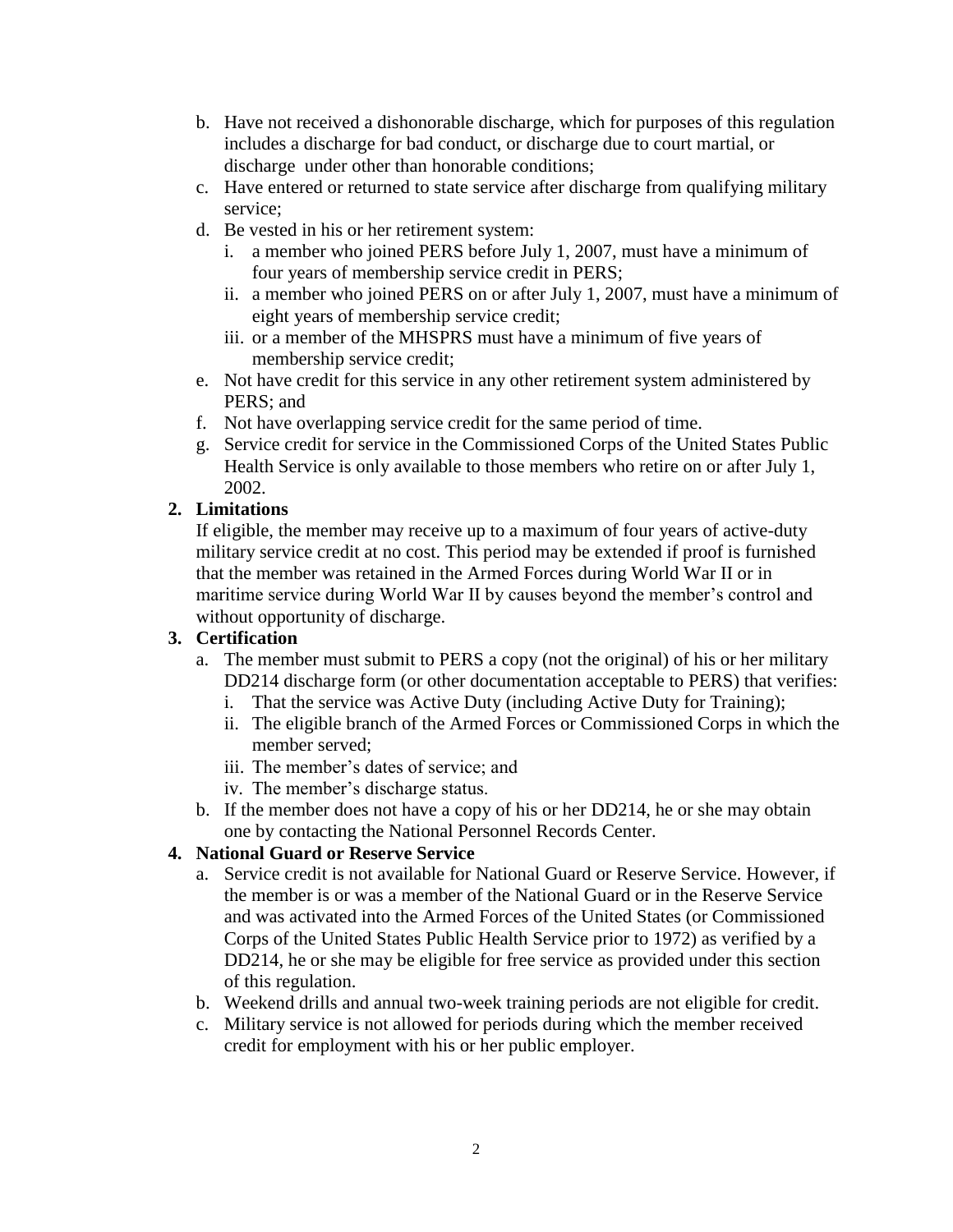- b. Have not received a dishonorable discharge, which for purposes of this regulation includes a discharge for bad conduct, or discharge due to court martial, or discharge under other than honorable conditions;
- c. Have entered or returned to state service after discharge from qualifying military service;
- d. Be vested in his or her retirement system:
	- i. a member who joined PERS before July 1, 2007, must have a minimum of four years of membership service credit in PERS;
	- ii. a member who joined PERS on or after July 1, 2007, must have a minimum of eight years of membership service credit;
	- iii. or a member of the MHSPRS must have a minimum of five years of membership service credit;
- e. Not have credit for this service in any other retirement system administered by PERS; and
- f. Not have overlapping service credit for the same period of time.
- g. Service credit for service in the Commissioned Corps of the United States Public Health Service is only available to those members who retire on or after July 1, 2002.

# **2. Limitations**

If eligible, the member may receive up to a maximum of four years of active-duty military service credit at no cost. This period may be extended if proof is furnished that the member was retained in the Armed Forces during World War II or in maritime service during World War II by causes beyond the member's control and without opportunity of discharge.

## **3. Certification**

- a. The member must submit to PERS a copy (not the original) of his or her military DD214 discharge form (or other documentation acceptable to PERS) that verifies:
	- i. That the service was Active Duty (including Active Duty for Training);
	- ii. The eligible branch of the Armed Forces or Commissioned Corps in which the member served;
	- iii. The member's dates of service; and
	- iv. The member's discharge status.
- b. If the member does not have a copy of his or her DD214, he or she may obtain one by contacting the National Personnel Records Center.

# **4. National Guard or Reserve Service**

- a. Service credit is not available for National Guard or Reserve Service. However, if the member is or was a member of the National Guard or in the Reserve Service and was activated into the Armed Forces of the United States (or Commissioned Corps of the United States Public Health Service prior to 1972) as verified by a DD214, he or she may be eligible for free service as provided under this section of this regulation.
- b. Weekend drills and annual two-week training periods are not eligible for credit.
- c. Military service is not allowed for periods during which the member received credit for employment with his or her public employer.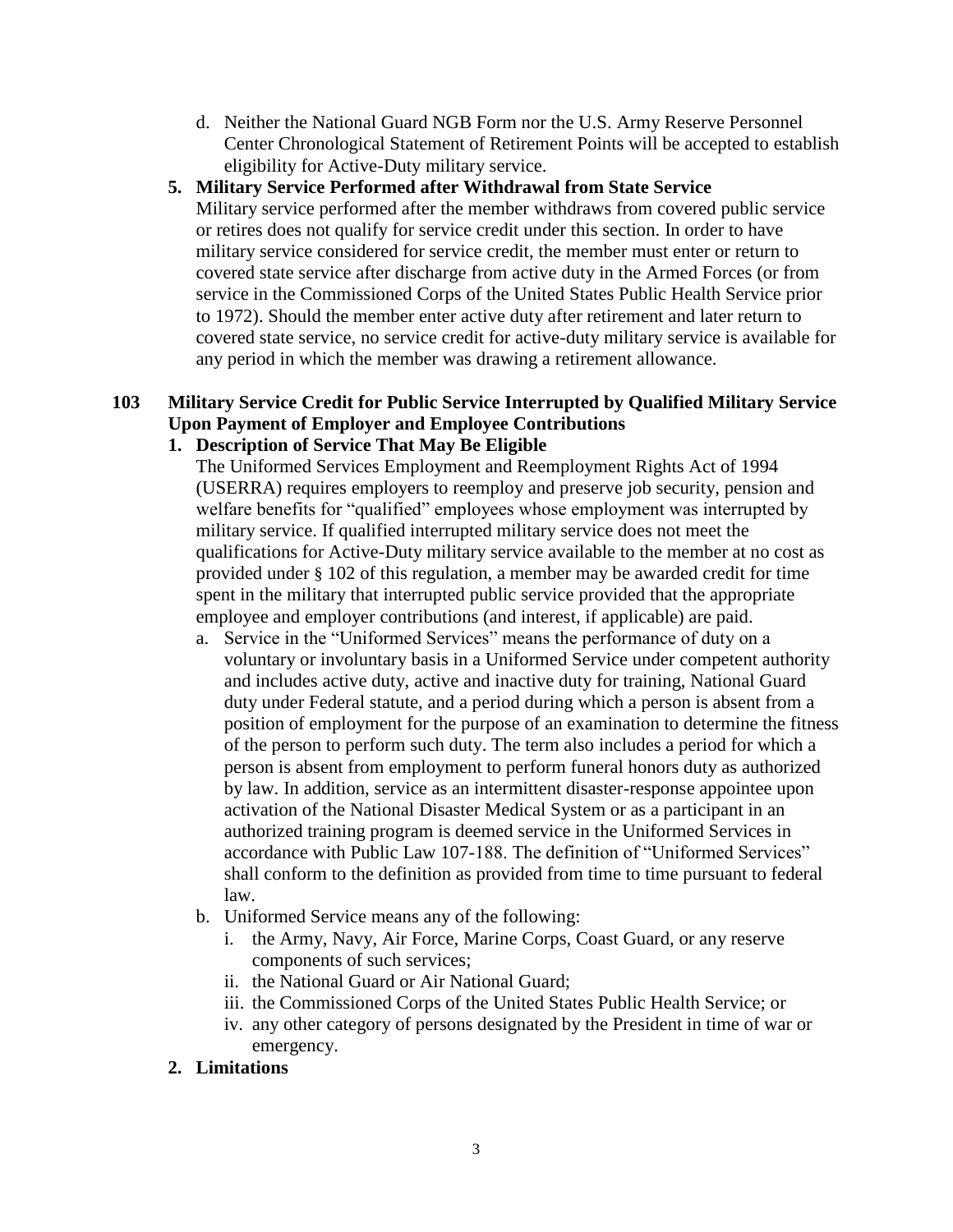d. Neither the National Guard NGB Form nor the U.S. Army Reserve Personnel Center Chronological Statement of Retirement Points will be accepted to establish eligibility for Active-Duty military service.

## **5. Military Service Performed after Withdrawal from State Service**

Military service performed after the member withdraws from covered public service or retires does not qualify for service credit under this section. In order to have military service considered for service credit, the member must enter or return to covered state service after discharge from active duty in the Armed Forces (or from service in the Commissioned Corps of the United States Public Health Service prior to 1972). Should the member enter active duty after retirement and later return to covered state service, no service credit for active-duty military service is available for any period in which the member was drawing a retirement allowance.

# **103 Military Service Credit for Public Service Interrupted by Qualified Military Service Upon Payment of Employer and Employee Contributions**

## **1. Description of Service That May Be Eligible**

The Uniformed Services Employment and Reemployment Rights Act of 1994 (USERRA) requires employers to reemploy and preserve job security, pension and welfare benefits for "qualified" employees whose employment was interrupted by military service. If qualified interrupted military service does not meet the qualifications for Active-Duty military service available to the member at no cost as provided under § 102 of this regulation, a member may be awarded credit for time spent in the military that interrupted public service provided that the appropriate employee and employer contributions (and interest, if applicable) are paid.

- a. Service in the "Uniformed Services" means the performance of duty on a voluntary or involuntary basis in a Uniformed Service under competent authority and includes active duty, active and inactive duty for training, National Guard duty under Federal statute, and a period during which a person is absent from a position of employment for the purpose of an examination to determine the fitness of the person to perform such duty. The term also includes a period for which a person is absent from employment to perform funeral honors duty as authorized by law. In addition, service as an intermittent disaster-response appointee upon activation of the National Disaster Medical System or as a participant in an authorized training program is deemed service in the Uniformed Services in accordance with Public Law 107-188. The definition of "Uniformed Services" shall conform to the definition as provided from time to time pursuant to federal law.
- b. Uniformed Service means any of the following:
	- i. the Army, Navy, Air Force, Marine Corps, Coast Guard, or any reserve components of such services;
	- ii. the National Guard or Air National Guard;
	- iii. the Commissioned Corps of the United States Public Health Service; or
	- iv. any other category of persons designated by the President in time of war or emergency.

# **2. Limitations**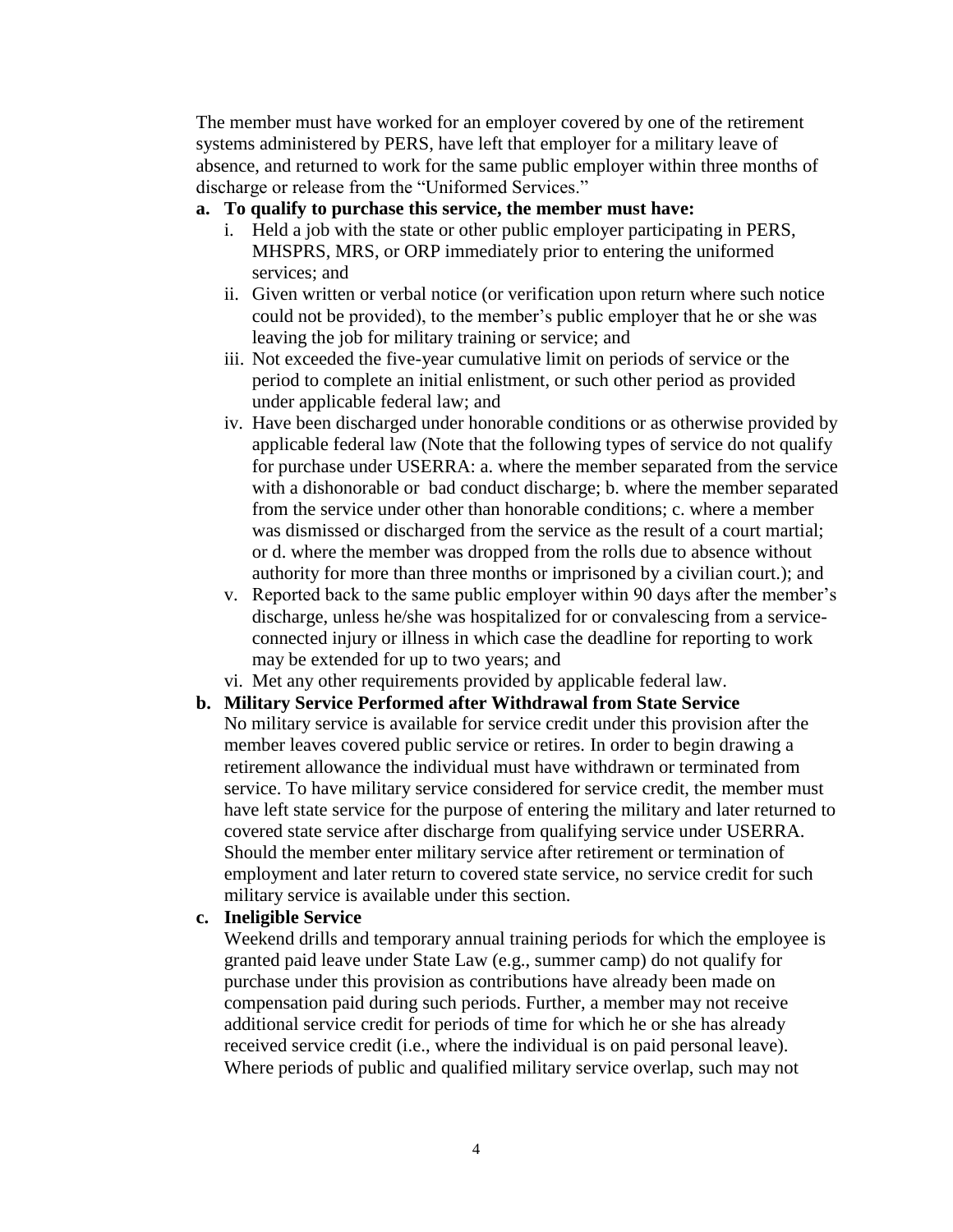The member must have worked for an employer covered by one of the retirement systems administered by PERS, have left that employer for a military leave of absence, and returned to work for the same public employer within three months of discharge or release from the "Uniformed Services."

### **a. To qualify to purchase this service, the member must have:**

- i. Held a job with the state or other public employer participating in PERS, MHSPRS, MRS, or ORP immediately prior to entering the uniformed services; and
- ii. Given written or verbal notice (or verification upon return where such notice could not be provided), to the member's public employer that he or she was leaving the job for military training or service; and
- iii. Not exceeded the five-year cumulative limit on periods of service or the period to complete an initial enlistment, or such other period as provided under applicable federal law; and
- iv. Have been discharged under honorable conditions or as otherwise provided by applicable federal law (Note that the following types of service do not qualify for purchase under USERRA: a. where the member separated from the service with a dishonorable or bad conduct discharge; b. where the member separated from the service under other than honorable conditions; c. where a member was dismissed or discharged from the service as the result of a court martial; or d. where the member was dropped from the rolls due to absence without authority for more than three months or imprisoned by a civilian court.); and
- v. Reported back to the same public employer within 90 days after the member's discharge, unless he/she was hospitalized for or convalescing from a serviceconnected injury or illness in which case the deadline for reporting to work may be extended for up to two years; and
- vi. Met any other requirements provided by applicable federal law.
- **b. Military Service Performed after Withdrawal from State Service** No military service is available for service credit under this provision after the member leaves covered public service or retires. In order to begin drawing a retirement allowance the individual must have withdrawn or terminated from service. To have military service considered for service credit, the member must have left state service for the purpose of entering the military and later returned to covered state service after discharge from qualifying service under USERRA. Should the member enter military service after retirement or termination of employment and later return to covered state service, no service credit for such military service is available under this section.

#### **c. Ineligible Service**

Weekend drills and temporary annual training periods for which the employee is granted paid leave under State Law (e.g., summer camp) do not qualify for purchase under this provision as contributions have already been made on compensation paid during such periods. Further, a member may not receive additional service credit for periods of time for which he or she has already received service credit (i.e., where the individual is on paid personal leave). Where periods of public and qualified military service overlap, such may not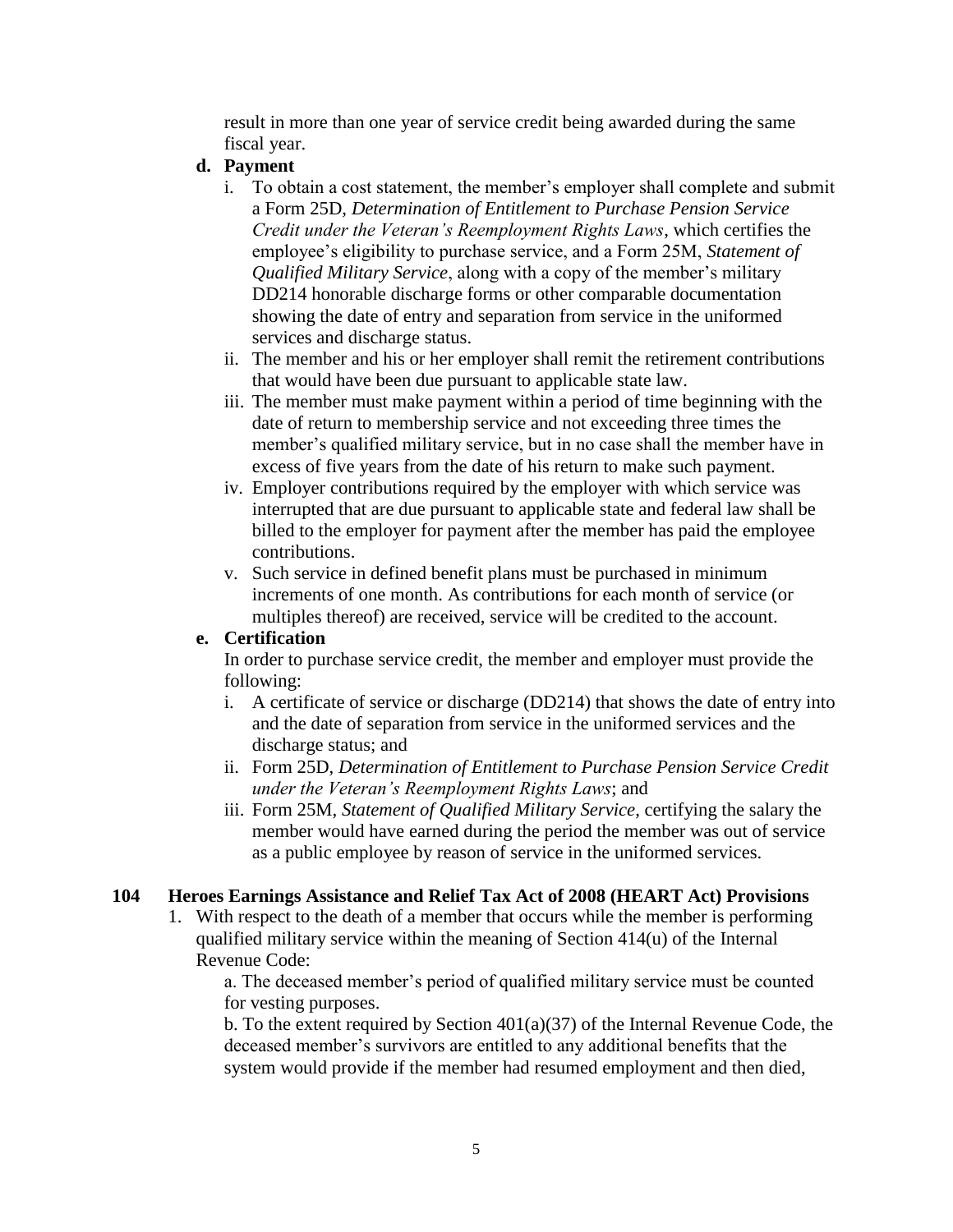result in more than one year of service credit being awarded during the same fiscal year.

### **d. Payment**

- i. To obtain a cost statement, the member's employer shall complete and submit a Form 25D, *Determination of Entitlement to Purchase Pension Service Credit under the Veteran's Reemployment Rights Laws*, which certifies the employee's eligibility to purchase service, and a Form 25M, *Statement of Qualified Military Service*, along with a copy of the member's military DD214 honorable discharge forms or other comparable documentation showing the date of entry and separation from service in the uniformed services and discharge status.
- ii. The member and his or her employer shall remit the retirement contributions that would have been due pursuant to applicable state law.
- iii. The member must make payment within a period of time beginning with the date of return to membership service and not exceeding three times the member's qualified military service, but in no case shall the member have in excess of five years from the date of his return to make such payment.
- iv. Employer contributions required by the employer with which service was interrupted that are due pursuant to applicable state and federal law shall be billed to the employer for payment after the member has paid the employee contributions.
- v. Such service in defined benefit plans must be purchased in minimum increments of one month. As contributions for each month of service (or multiples thereof) are received, service will be credited to the account.

## **e. Certification**

In order to purchase service credit, the member and employer must provide the following:

- i. A certificate of service or discharge (DD214) that shows the date of entry into and the date of separation from service in the uniformed services and the discharge status; and
- ii. Form 25D, *Determination of Entitlement to Purchase Pension Service Credit under the Veteran's Reemployment Rights Laws*; and
- iii. Form 25M, *Statement of Qualified Military Service*, certifying the salary the member would have earned during the period the member was out of service as a public employee by reason of service in the uniformed services.

## **104 Heroes Earnings Assistance and Relief Tax Act of 2008 (HEART Act) Provisions**

1. With respect to the death of a member that occurs while the member is performing qualified military service within the meaning of Section 414(u) of the Internal Revenue Code:

a. The deceased member's period of qualified military service must be counted for vesting purposes.

b. To the extent required by Section 401(a)(37) of the Internal Revenue Code, the deceased member's survivors are entitled to any additional benefits that the system would provide if the member had resumed employment and then died,